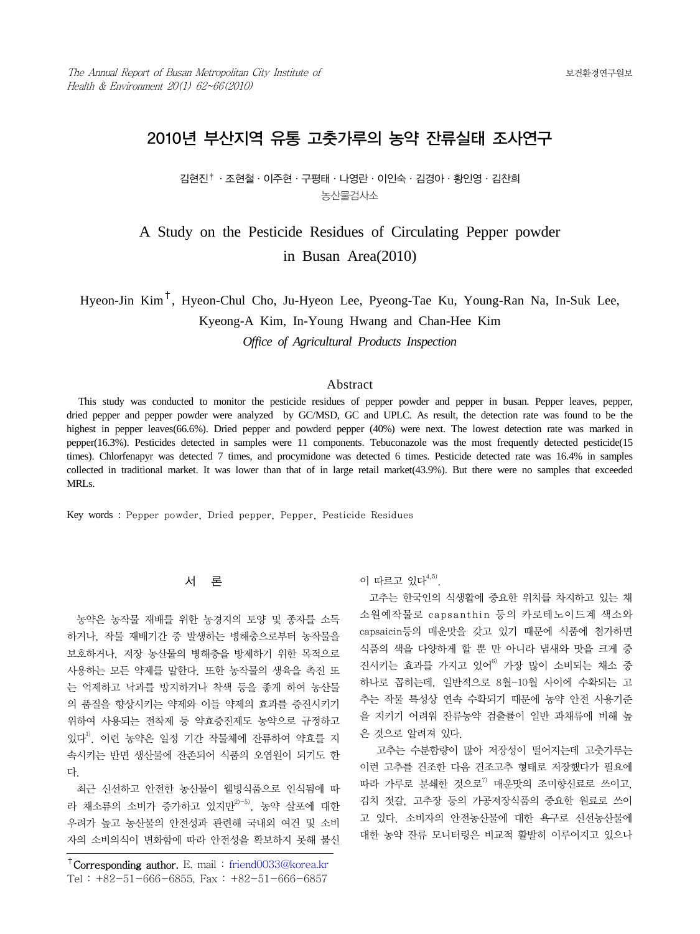# 2010년 부산지역 유통 고춧가루의 농약 잔류실태 조사연구

김현진†·조현철·이주현·구평태·나영란·이인숙·김경아·황인영·김찬희 농산물검사소

# A Study on the Pesticide Residues of Circulating Pepper powder in Busan Area(2010)

Hyeon-Jin Kim†, Hyeon-Chul Cho, Ju-Hyeon Lee, Pyeong-Tae Ku, Young-Ran Na, In-Suk Lee, Kyeong-A Kim, In-Young Hwang and Chan-Hee Kim *Office of Agricultural Products Inspection*

## Abstract

This study was conducted to monitor the pesticide residues of pepper powder and pepper in busan. Pepper leaves, pepper, dried pepper and pepper powder were analyzed by GC/MSD, GC and UPLC. As result, the detection rate was found to be the highest in pepper leaves(66.6%). Dried pepper and powderd pepper (40%) were next. The lowest detection rate was marked in pepper(16.3%). Pesticides detected in samples were 11 components. Tebuconazole was the most frequently detected pesticide(15 times). Chlorfenapyr was detected 7 times, and procymidone was detected 6 times. Pesticide detected rate was 16.4% in samples collected in traditional market. It was lower than that of in large retail market(43.9%). But there were no samples that exceeded MRLs.

Key words : Pepper powder, Dried pepper, Pepper, Pesticide Residues

#### 서 론

 농약은 농작물 재배를 위한 농경지의 토양 및 종자를 소독 하거나, 작물 재배기간 중 발생하는 병해충으로부터 농작물을 보호하거나, 저장 농산물의 병해충을 방제하기 위한 목적으로 사용하는 모든 약제를 말한다. 또한 농작물의 생육을 촉진 또 는 억제하고 낙과를 방지하거나 착색 등을 좋게 하여 농산물 의 품질을 향상시키는 약제와 이들 약제의 효과를 증진시키기 위하여 사용되는 전착제 등 약효증진제도 농약으로 규정하고 있다1). 이런 농약은 일정 기간 작물체에 잔류하여 약효를 지 속시키는 반면 생산물에 잔존되어 식품의 오염원이 되기도 한 다.

 최근 신선하고 안전한 농산물이 웰빙식품으로 인식됨에 따 라 채소류의 소비가 증가하고 있지만2)-5), 농약 살포에 대한 우려가 높고 농산물의 안전성과 관련해 국내외 여건 및 소비 자의 소비의식이 변화함에 따라 안전성을 확보하지 못해 불신

†Corresponding author. E. mail : friend0033@korea.kr Tel : +82-51-666-6855, Fax : +82-51-666-6857

### 이 따르고 있다 $^{4,5)}$ .

 고추는 한국인의 식생활에 중요한 위치를 차지하고 있는 채 소원예작물로 capsanthin 등의 카로테노이드계 색소와 capsaicin등의 매운맛을 갖고 있기 때문에 식품에 첨가하면 식품의 색을 다양하게 할 뿐 만 아니라 냄새와 맛을 크게 증 진시키는 효과를 가지고 있어<sup>6)</sup> 가장 많이 소비되는 채소 중 하나로 꼽히는데, 일반적으로 8월-10월 사이에 수확되는 고 추는 작물 특성상 연속 수확되기 때문에 농약 안전 사용기준 을 지키기 어려워 잔류농약 검출률이 일반 과채류에 비해 높 은 것으로 알려져 있다.

 고추는 수분함량이 많아 저장성이 떨어지는데 고춧가루는 이런 고추를 건조한 다음 건조고추 형태로 저장했다가 필요에 따라 가루로 분쇄한 것으로<sup>7)</sup> 매우맛의 조미향신료로 쓰이고, 김치 젓갈, 고추장 등의 가공저장식품의 중요한 원료로 쓰이 고 있다. 소비자의 안전농산물에 대한 욕구로 신선농산물에 대한 농약 잔류 모니터링은 비교적 활발히 이루어지고 있으나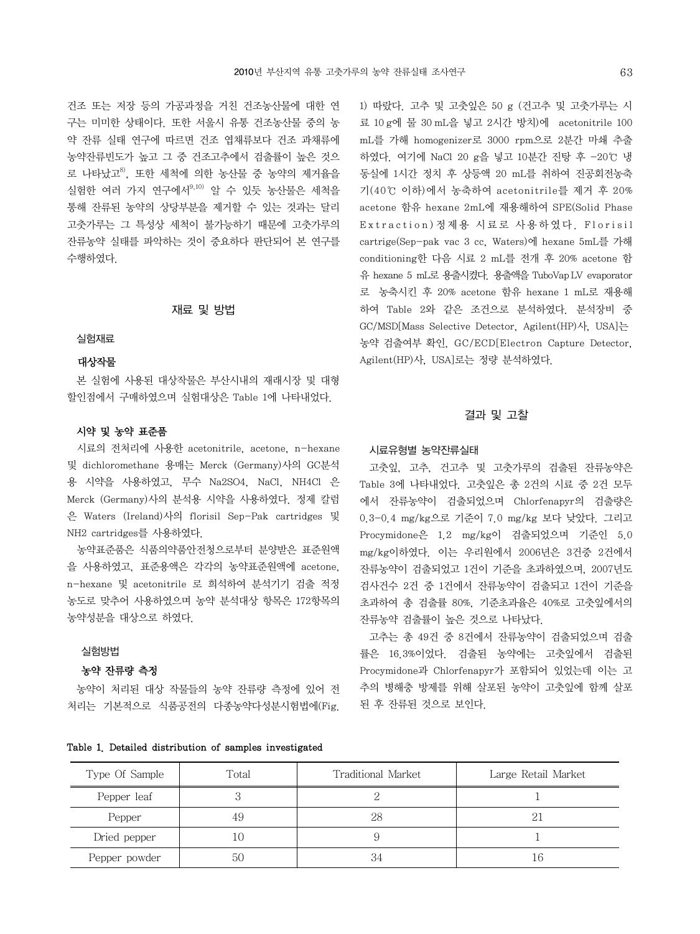건조 또는 저장 등의 가공과정을 거친 건조농산물에 대한 연 구는 미미한 상태이다. 또한 서울시 유통 건조농산물 중의 농 약 잔류 실태 연구에 따르면 건조 엽채류보다 건조 과채류에 농약잔류빈도가 높고 그 중 건조고추에서 검출률이 높은 것으 로 나타났고 $^{8}$ , 또한 세척에 의한 농산물 중 농약의 제거율을 실험한 여러 가지 연구에서<sup>9,10)</sup> 알 수 있듯 농산물은 세척을 통해 잔류된 농약의 상당부분을 제거할 수 있는 것과는 달리 고춧가루는 그 특성상 세척이 불가능하기 때문에 고춧가루의 잔류농약 실태를 파악하는 것이 중요하다 판단되어 본 연구를 수행하였다.

## 재료 및 방법

#### 실험재료

### 대상작물

 본 실험에 사용된 대상작물은 부산시내의 재래시장 및 대형 할인점에서 구매하였으며 실험대상은 Table 1에 나타내었다.

### 시약 및 농약 표준품

시료의 전처리에 사용한 acetonitrile, acetone, n-hexane 및 dichloromethane 용매는 Merck (Germany)사의 GC분석 용 시약을 사용하였고, 무수 Na2SO4, NaCl, NH4Cl 은 Merck (Germany)사의 분석용 시약을 사용하였다. 정제 칼럼 은 Waters (Ireland)사의 florisil Sep-Pak cartridges 및 NH2 cartridges를 사용하였다.

농약표준품은 식품의약품안전청으로부터 분양받은 표준원액 을 사용하였고, 표준용액은 각각의 농약표준원액에 acetone, n-hexane 및 acetonitrile 로 희석하여 분석기기 검출 적정 농도로 맞추어 사용하였으며 농약 분석대상 항목은 172항목의 농약성분을 대상으로 하였다.

## 실험방법

### 농약 잔류량 측정

 농약이 처리된 대상 작물들의 농약 잔류량 측정에 있어 전 처리는 기본적으로 식품공전의 다종농약다성분시험법에(Fig.

|  |  |  | Table 1. Detailed distribution of samples investigated |
|--|--|--|--------------------------------------------------------|
|  |  |  |                                                        |

1) 따랐다. 고추 및 고춧잎은 50 g (건고추 및 고춧가루는 시 료 10 g에 물 30 mL을 넣고 2시간 방치)에 acetonitrile 100 mL를 가해 homogenizer로 3000 rpm으로 2분간 마쇄 추출 하였다. 여기에 NaCl 20 g을 넣고 10분간 진탕 후 -20℃ 냉 동실에 1시간 정치 후 상등액 20 mL를 취하여 진공회전농축 기(40℃ 이하)에서 농축하여 acetonitrile를 제거 후 20% acetone 함유 hexane 2mL에 재용해하여 SPE(Solid Phase Extraction) 정제용 시료로 사용하였다. Florisil cartrige(Sep-pak vac 3 cc, Waters)에 hexane 5mL를 가해 conditioning한 다음 시료 2 mL를 전개 후 20% acetone 함 유 hexane 5 mL로 용출시켰다. 용출액을 TuboVapLV evaporator 로 농축시킨 후 20% acetone 함유 hexane 1 mL로 재용해 하여 Table 2와 같은 조건으로 분석하였다. 분석장비 중 GC/MSD[Mass Selective Detector, Agilent(HP)사, USA]는 농약 검출여부 확인, GC/ECD[Electron Capture Detector, Agilent(HP)사, USA]로는 정량 분석하였다.

#### 결과 및 고찰

#### 시료유형별 농약잔류실태

 고춧잎, 고추, 건고추 및 고춧가루의 검출된 잔류농약은 Table 3에 나타내었다. 고춧잎은 총 2건의 시료 중 2건 모두 에서 잔류농약이 검출되었으며 Chlorfenapyr의 검출량은 0.3-0.4 mg/kg으로 기준이 7.0 mg/kg 보다 낮았다. 그리고 Procymidone은 1.2 mg/kg이 검출되었으며 기준인 5.0 mg/kg이하였다. 이는 우리원에서 2006년은 3건중 2건에서 잔류농약이 검출되었고 1건이 기준을 초과하였으며, 2007년도 검사건수 2건 중 1건에서 잔류농약이 검출되고 1건이 기준을 초과하여 총 검출률 80%, 기준초과율은 40%로 고춧잎에서의 잔류농약 검출률이 높은 것으로 나타났다.

 고추는 총 49건 중 8건에서 잔류농약이 검출되었으며 검출 률은 16.3%이었다. 검출된 농약에는 고춧잎에서 검출된 Procymidone과 Chlorfenapyr가 포함되어 있었는데 이는 고 추의 병해충 방제를 위해 살포된 농약이 고춧잎에 함께 살포 된 후 잔류된 것으로 보인다.

| Type Of Sample | Total | Traditional Market | Large Retail Market |
|----------------|-------|--------------------|---------------------|
| Pepper leaf    |       |                    |                     |
| Pepper         | 49    | 28                 | 21                  |
| Dried pepper   |       |                    |                     |
| Pepper powder  | 50    |                    |                     |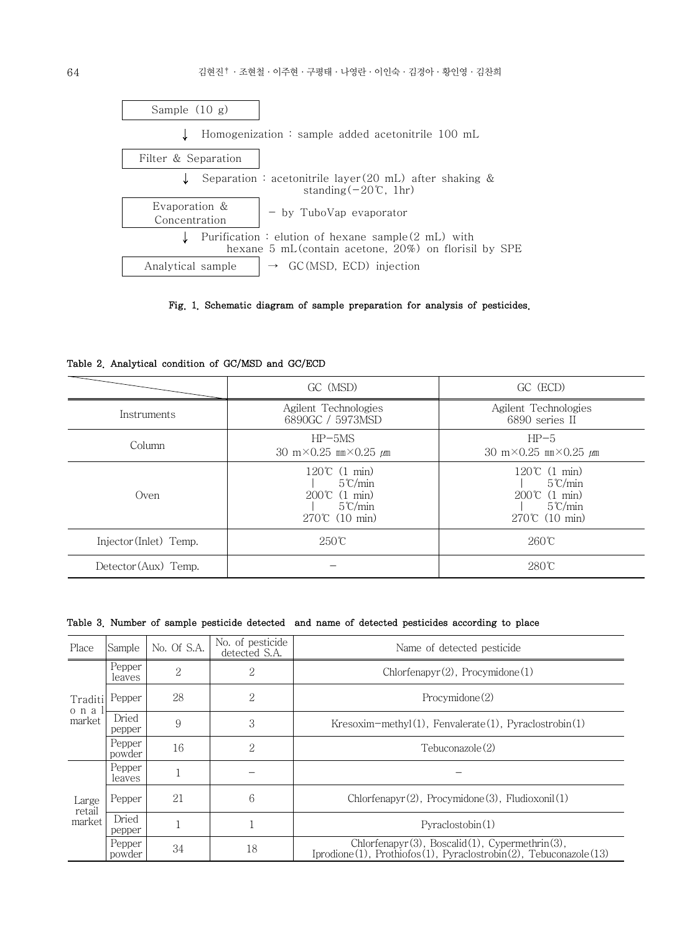



Table 2. Analytical condition of GC/MSD and GC/ECD

|                        | GC (MSD)                                                                                                           | GC (ECD)                                                                                                           |  |
|------------------------|--------------------------------------------------------------------------------------------------------------------|--------------------------------------------------------------------------------------------------------------------|--|
| Instruments            | Agilent Technologies<br>6890GC / 5973MSD                                                                           | Agilent Technologies<br>6890 series II                                                                             |  |
| Column                 | $HP-5MS$<br>30 m $\times$ 0.25 mm $\times$ 0.25 $\mu$ m                                                            | $HP-5$<br>30 m $\times$ 0.25 mm $\times$ 0.25 $\mu$ m                                                              |  |
| Oven                   | $120^{\circ}$ (1 min)<br>$5^{\circ}$ C/min<br>$200^{\circ}$ (1 min)<br>$5^{\circ}$ C/min<br>$270^{\circ}$ (10 min) | $120^{\circ}$ (1 min)<br>$5^{\circ}$ C/min<br>$200^{\circ}$ (1 min)<br>$5^{\circ}$ C/min<br>$270^{\circ}$ (10 min) |  |
| Injector (Inlet) Temp. | $250^{\circ}$ C                                                                                                    | $260^{\circ}$ C                                                                                                    |  |
| Detector (Aux) Temp.   |                                                                                                                    | $280^{\circ}$ C                                                                                                    |  |

| Table 3. Number of sample pesticide detected and name of detected pesticides according to place |  |  |  |  |  |  |  |  |  |  |
|-------------------------------------------------------------------------------------------------|--|--|--|--|--|--|--|--|--|--|
|-------------------------------------------------------------------------------------------------|--|--|--|--|--|--|--|--|--|--|

| Place                      | Sample           | No. Of S.A. | No. of pesticide<br>detected S.A. | Name of detected pesticide                                                                                                    |  |
|----------------------------|------------------|-------------|-----------------------------------|-------------------------------------------------------------------------------------------------------------------------------|--|
| Traditi<br>o n a<br>market | Pepper<br>leaves | 2           | 2                                 | $Chlorfenapyr(2)$ , Procymidone(1)                                                                                            |  |
|                            | Pepper           | 28          | 2                                 | Procvmidone(2)                                                                                                                |  |
|                            | Dried<br>pepper  | 9           | 3                                 | $Kresoxim-methyl(1)$ , Fenvalerate(1), Pyraclostrobin(1)                                                                      |  |
|                            | Pepper<br>powder | 16          | 2                                 | Tebuconazole(2)                                                                                                               |  |
| Large<br>retail<br>market  | Pepper<br>leaves |             |                                   |                                                                                                                               |  |
|                            | Pepper           | 21          | 6                                 | Chlorfenapyr(2), Procymidone(3), Fludioxonil(1)                                                                               |  |
|                            | Dried<br>pepper  |             |                                   | Pvraclostobin(1)                                                                                                              |  |
|                            | Pepper<br>powder | 34          | 18                                | $Chlorfenapyr(3)$ , Boscalid $(1)$ , Cypermethrin $(3)$ ,<br>Iprodione(1), Prothiofos(1), Pyraclostrobin(2), Tebuconazole(13) |  |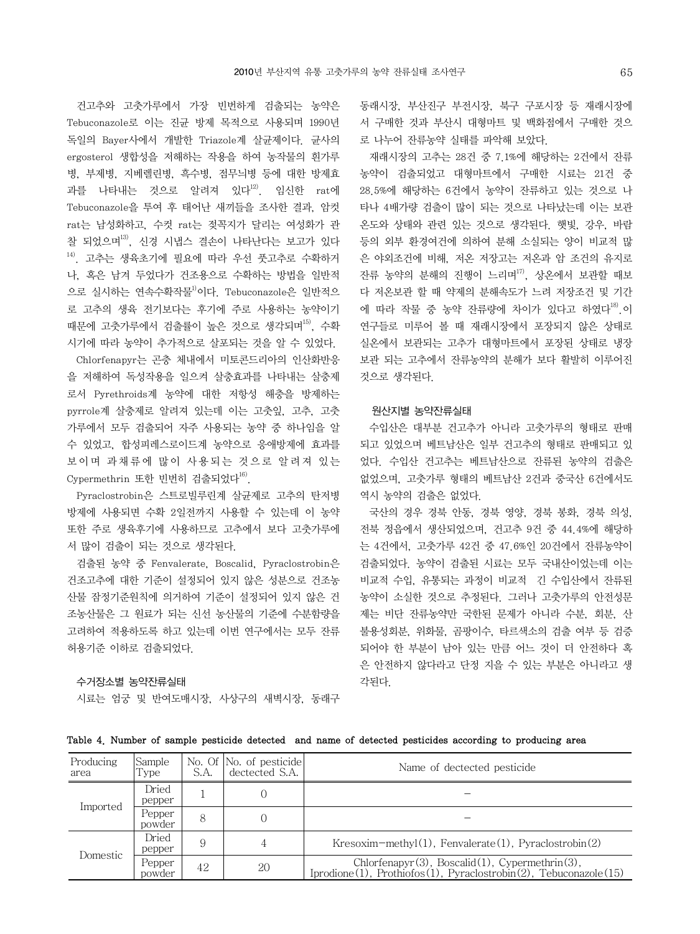건고추와 고춧가루에서 가장 빈번하게 검출되는 농약은 Tebuconazole로 이는 진균 방제 목적으로 사용되며 1990년 독일의 Bayer사에서 개발한 Triazole계 살균제이다. 균사의 ergosterol 생합성을 저해하는 작용을 하여 농작물의 흰가루 병, 부제병, 지베렐린병, 흑수병, 점무늬병 등에 대한 방제효 과를 나타내는 것으로 알려져 있다 $^{12}$ . 임신한 rat에 Tebuconazole을 투여 후 태어난 새끼들을 조사한 결과, 암컷 rat는 남성화하고, 수컷 rat는 젖꼭지가 달리는 여성화가 관 찰 되었으며13), 신경 시냅스 결손이 나타난다는 보고가 있다 14). 고추는 생육초기에 필요에 따라 우선 풋고추로 수확하거 나, 혹은 남겨 두었다가 건조용으로 수확하는 방법을 일반적 으로 실시하는 연속수확작물<sup>1)</sup>이다. Tebuconazole은 일반적으 로 고추의 생육 전기보다는 후기에 주로 사용하는 농약이기 때문에 고춧가루에서 검출률이 높은 것으로 생각되며<sup>15)</sup>, 수확 시기에 따라 농약이 추가적으로 살포되는 것을 알 수 있었다.

 Chlorfenapyr는 곤충 체내에서 미토콘드리아의 인산화반응 을 저해하여 독성작용을 일으켜 살충효과를 나타내는 살충제 로서 Pyrethroids계 농약에 대한 저항성 해충을 방제하는 pyrrole계 살충제로 알려져 있는데 이는 고춧잎, 고추, 고춧 가루에서 모두 검출되어 자주 사용되는 농약 중 하나임을 알 수 있었고, 합성피레스로이드계 농약으로 응애방제에 효과를 보이며 과채류에 많이 사용되는 것으로 알려져 있는 Cypermethrin 또한 빈번히 검출되었다<sup>16)</sup>.

 Pyraclostrobin은 스트로빌루린계 살균제로 고추의 탄저병 방제에 사용되면 수확 2일전까지 사용할 수 있는데 이 농약 또한 주로 생육후기에 사용하므로 고추에서 보다 고춧가루에 서 많이 검출이 되는 것으로 생각된다.

 검출된 농약 중 Fenvalerate, Boscalid, Pyraclostrobin은 건조고추에 대한 기준이 설정되어 있지 않은 성분으로 건조농 산물 잠정기준원칙에 의거하여 기준이 설정되어 있지 않은 건 조농산물은 그 원료가 되는 신선 농산물의 기준에 수분함량을 고려하여 적용하도록 하고 있는데 이번 연구에서는 모두 잔류 허용기준 이하로 검출되었다.

## 수거장소별 농약잔류실태

시료는 엄궁 및 반여도매시장, 사상구의 새벽시장, 동래구

동래시장, 부산진구 부전시장, 북구 구포시장 등 재래시장에 서 구매한 것과 부산시 대형마트 및 백화점에서 구매한 것으 로 나누어 잔류농약 실태를 파악해 보았다.

 재래시장의 고추는 28건 중 7.1%에 해당하는 2건에서 잔류 농약이 검출되었고 대형마트에서 구매한 시료는 21건 중 28.5%에 해당하는 6건에서 농약이 잔류하고 있는 것으로 나 타나 4배가량 검출이 많이 되는 것으로 나타났는데 이는 보관 온도와 상태와 관련 있는 것으로 생각된다. 햇빛, 강우, 바람 등의 외부 환경여건에 의하여 분해 소실되는 양이 비교적 많 은 야외조건에 비해, 저온 저장고는 저온과 암 조건의 유지로 잔류 농약의 분해의 진행이 느리며<sup>17</sup>, 상온에서 보관할 때보 다 저온보관 할 때 약제의 분해속도가 느려 저장조건 및 기간 에 따라 작물 중 농약 잔류량에 차이가 있다고 하였다<sup>18</sup>.이 연구들로 미루어 볼 때 재래시장에서 포장되지 않은 상태로 실온에서 보관되는 고추가 대형마트에서 포장된 상태로 냉장 보관 되는 고추에서 잔류농약의 분해가 보다 활발히 이루어진 것으로 생각된다.

#### 원산지별 농약잔류실태

수입산은 대부분 건고추가 아니라 고춧가루의 형태로 판매 되고 있었으며 베트남산은 일부 건고추의 형태로 판매되고 있 었다. 수입산 건고추는 베트남산으로 잔류된 농약의 검출은 없었으며, 고춧가루 형태의 베트남산 2건과 중국산 6건에서도 역시 농약의 검출은 없었다.

 국산의 경우 경북 안동, 경북 영양, 경북 봉화, 경북 의성, 전북 정읍에서 생산되었으며, 건고추 9건 중 44.4%에 해당하 는 4건에서, 고춧가루 42건 중 47.6%인 20건에서 잔류농약이 검출되었다. 농약이 검출된 시료는 모두 국내산이었는데 이는 비교적 수입, 유통되는 과정이 비교적 긴 수입산에서 잔류된 농약이 소실한 것으로 추정된다. 그러나 고춧가루의 안전성문 제는 비단 잔류농약만 국한된 문제가 아니라 수분, 회분, 산 불용성회분, 위화물, 곰팡이수, 타르색소의 검출 여부 등 검증 되어야 한 부분이 남아 있는 만큼 어느 것이 더 안전하다 혹 은 안전하지 않다라고 단정 지을 수 있는 부분은 아니라고 생 각된다.

Table 4. Number of sample pesticide detected and name of detected pesticides according to producing area

| Producing<br>area | Sample<br>Type   | S.A. | No. Of No. of pesticide<br>dectected S.A. | Name of dectected pesticide                                                                                                   |
|-------------------|------------------|------|-------------------------------------------|-------------------------------------------------------------------------------------------------------------------------------|
| Imported          | Dried<br>pepper  |      | 0                                         |                                                                                                                               |
|                   | Pepper<br>powder | 8    |                                           |                                                                                                                               |
| Domestic          | Dried<br>pepper  | 9    | 4                                         | Kresoxim-methyl $(1)$ , Fenvalerate $(1)$ , Pyraclostrobin $(2)$                                                              |
|                   | Pepper<br>powder | 42   | 20                                        | $Chlorfenapyr(3)$ , Boscalid $(1)$ , Cypermethrin $(3)$ ,<br>Iprodione(1), Prothiofos(1), Pyraclostrobin(2), Tebuconazole(15) |